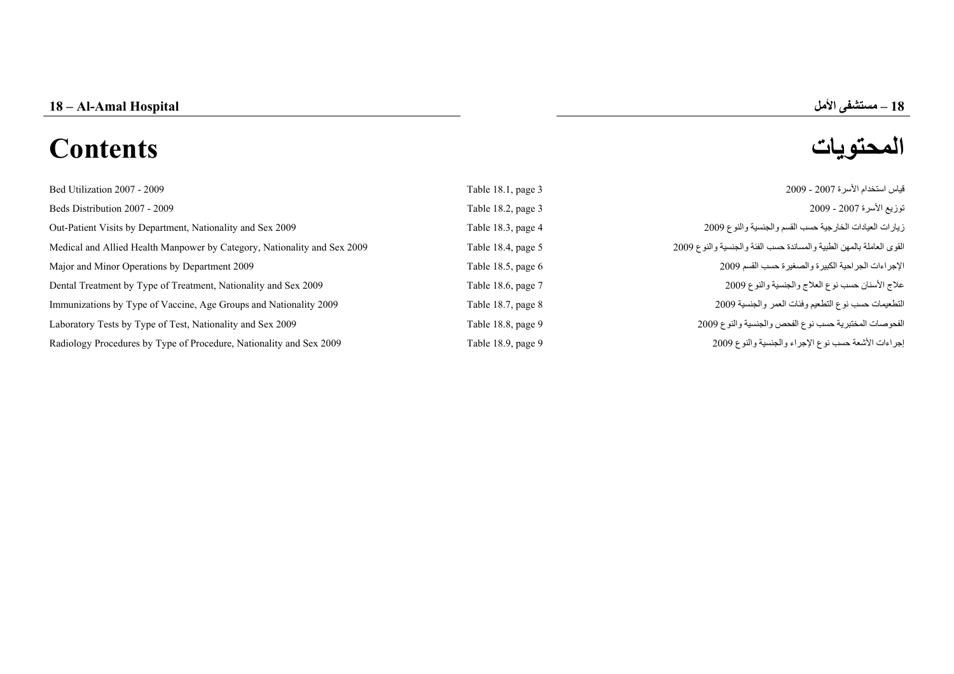18 – Al-Amal Hospital

# **المحتويات Contents**

**–**

| Bed Utilization 2007 - 2009                                              | Table 18.1, page 3 | قياس استخدام الأسرة 2007 - 2009                                      |
|--------------------------------------------------------------------------|--------------------|----------------------------------------------------------------------|
| Beds Distribution 2007 - 2009                                            | Table 18.2, page 3 | توزيع الأسرة 2007 - 2009                                             |
| Out-Patient Visits by Department, Nationality and Sex 2009               | Table 18.3, page 4 | زيارات العيادات الخارجية حسب القسم والجنسية والنوع 2009              |
| Medical and Allied Health Manpower by Category, Nationality and Sex 2009 | Table 18.4, page 5 | القوى العاملة بالمهن الطبية والمساندة حسب الفئة والجنسية والنوع 2009 |
| Major and Minor Operations by Department 2009                            | Table 18.5, page 6 | الإجراءات الجراحية الكبيرة والصغيرة حسب القسم 2009                   |
| Dental Treatment by Type of Treatment, Nationality and Sex 2009          | Table 18.6, page 7 | علاج الأسنان حسب نوع العلاج والجنسية والنوع 2009                     |
| Immunizations by Type of Vaccine, Age Groups and Nationality 2009        | Table 18.7, page 8 | التطعيمات حسب نوع التطعيم وفئات العمر والجنسية 2009                  |
| Laboratory Tests by Type of Test, Nationality and Sex 2009               | Table 18.8, page 9 | الفحوصات المختبرية حسب نوع الفحص والجنسية والنوع 2009                |
| Radiology Procedures by Type of Procedure, Nationality and Sex 2009      | Table 18.9, page 9 | إجراءات الأشعة حسب نوع الإجراء والجنسية والنوع 2009                  |
|                                                                          |                    |                                                                      |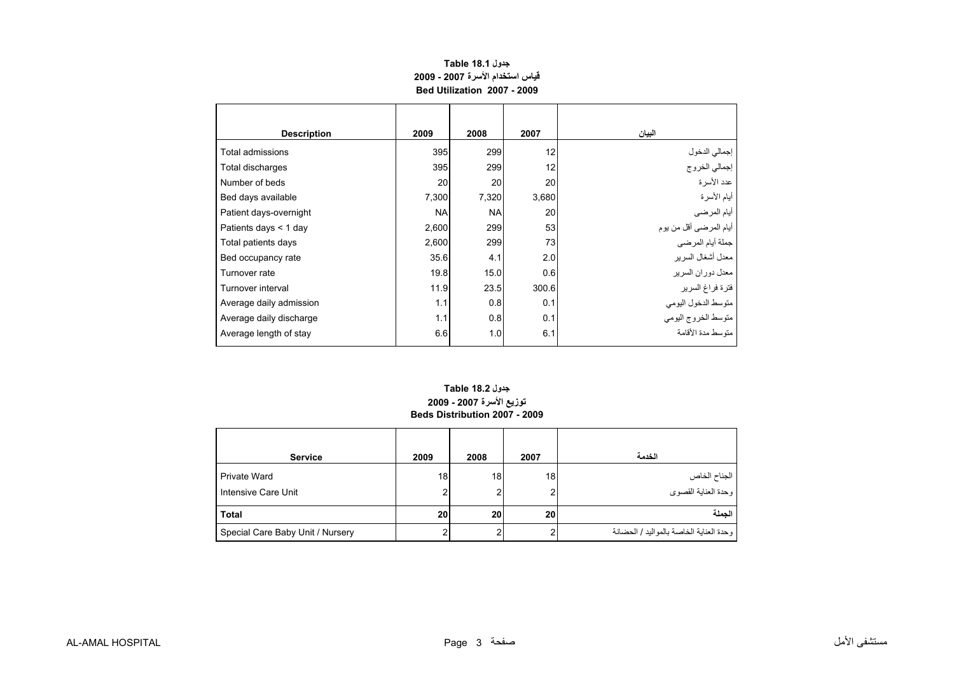# **جدول 18.1 Table قياس استخدام الأسرة 2007 - 2009 Bed Utilization 2007 - 2009**

<span id="page-1-0"></span>

| <b>Description</b>      | 2009      | 2008      | 2007  | البيان                  |
|-------------------------|-----------|-----------|-------|-------------------------|
| Total admissions        | 395       | 299       | 12    | إجمالي الدخول           |
| Total discharges        | 395       | 299       | 12    | إجمالي الخروج           |
| Number of beds          | 20        | 20        | 20    | عدد الأسر ة             |
| Bed days available      | 7,300     | 7,320     | 3,680 | أيام الأسرة             |
| Patient days-overnight  | <b>NA</b> | <b>NA</b> | 20    | أيام المرضي             |
| Patients days $<$ 1 day | 2,600     | 299       | 53    | أيام المرضىي أقل من يوم |
| Total patients days     | 2,600     | 299       | 73    | جملة أيام المرضى        |
| Bed occupancy rate      | 35.6      | 4.1       | 2.0   | معدل أشغال السرير       |
| Turnover rate           | 19.8      | 15.0      | 0.6   | معدل دو ر ان السر بر    |
| Turnover interval       | 11.9      | 23.5      | 300.6 | فترة فراغ السرير        |
| Average daily admission | 1.1       | 0.8       | 0.1   | متوسط الدخول اليومي     |
| Average daily discharge | 1.1       | 0.8       | 0.1   | متوسط الخروج اليومي     |
| Average length of stay  | 6.6       | 1.0       | 6.1   | منّه سط مدة الأقامة     |

### **توزيع الأسرة 2007 - 2009 Beds Distribution 2007 - 2009جدول 18.2 Table**

| <b>Service</b>                      | 2009    | 2008 | 2007 | الخدمة                                  |
|-------------------------------------|---------|------|------|-----------------------------------------|
| Private Ward<br>Intensive Care Unit | 18<br>2 | 18   | 18   | الجناح الخاص<br>وحدة العناية القصوي     |
| Total                               | 20      | 20   | 20   | الجملة                                  |
| Special Care Baby Unit / Nursery    | ົ       |      |      | وحدة العناية الخاصة بالمواليد / الحضانة |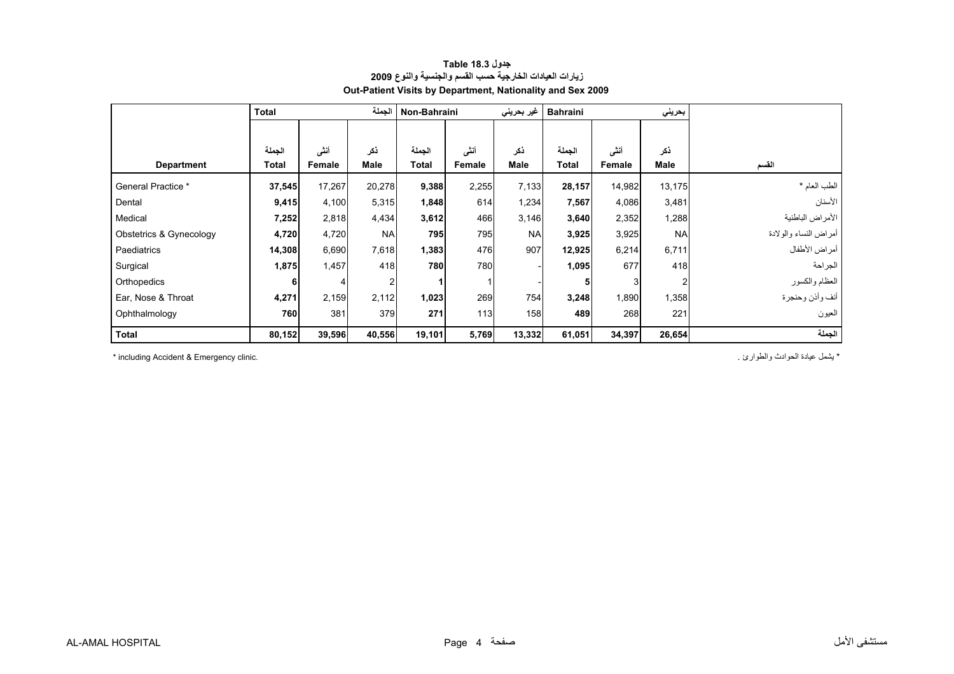<span id="page-2-0"></span>

|                         | <b>Total</b> |        | الجملة         | Non-Bahraini |        | غير بحريني  | <b>Bahraini</b> |        | بحريني      |                       |
|-------------------------|--------------|--------|----------------|--------------|--------|-------------|-----------------|--------|-------------|-----------------------|
|                         |              |        |                |              |        |             |                 |        |             |                       |
|                         | الجملة       | أننى   | ذكر            | الجملة       | أننشى  | ذكر         | الجملة          | أننى   | ذكر         |                       |
| <b>Department</b>       | Total        | Female | <b>Male</b>    | Total        | Female | <b>Male</b> | Total           | Female | <b>Male</b> | القسم                 |
| General Practice *      | 37,545       | 17,267 | 20,278         | 9,388        | 2,255  | 7,133       | 28,157          | 14,982 | 13,175      | الطب العام *          |
| Dental                  | 9,415        | 4,100  | 5,315          | 1,848        | 614    | 1,234       | 7,567           | 4,086  | 3,481       | الأسنان               |
| Medical                 | 7,252        | 2,818  | 4,434          | 3,612        | 466    | 3,146       | 3,640           | 2,352  | 1,288       | الأمراض الباطنية      |
| Obstetrics & Gynecology | 4,720        | 4,720  | <b>NA</b>      | 795          | 795    | <b>NAI</b>  | 3,925           | 3,925  | <b>NA</b>   | أمراض النساء والولادة |
| Paediatrics             | 14,308       | 6,690  | 7,618          | 1,383        | 476    | 907         | 12,925          | 6,214  | 6,711       | أمراض الأطفال         |
| Surgical                | 1,875        | 1,457  | 418            | 780          | 780    |             | 1,095           | 677    | 418         | الجر احة              |
| Orthopedics             | 6            |        | $\overline{2}$ |              |        |             | 5               | 3      | 2           | العظام والكسور        |
| Ear, Nose & Throat      | 4,271        | 2,159  | 2,112          | 1,023        | 269    | 754         | 3,248           | 1,890  | 1,358       | أنف وأذن وحنجرة       |
| Ophthalmology           | 760          | 381    | 379            | 271          | 113    | 158         | 489             | 268    | 221         | العيون                |
| <b>Total</b>            | 80,152       | 39,596 | 40,556         | 19,101       | 5,769  | 13,332      | 61,051          | 34,397 | 26,654      | الجملة                |

#### **جدول 18.3 Table زيارات العيادات الخارجية حسب القسم والجنسية والنوع <sup>2009</sup> Out-Patient Visits by Department, Nationality and Sex 2009**

\* يشمل عيادة الحوادث والطوارئ . .clinic Emergency & Accident including\*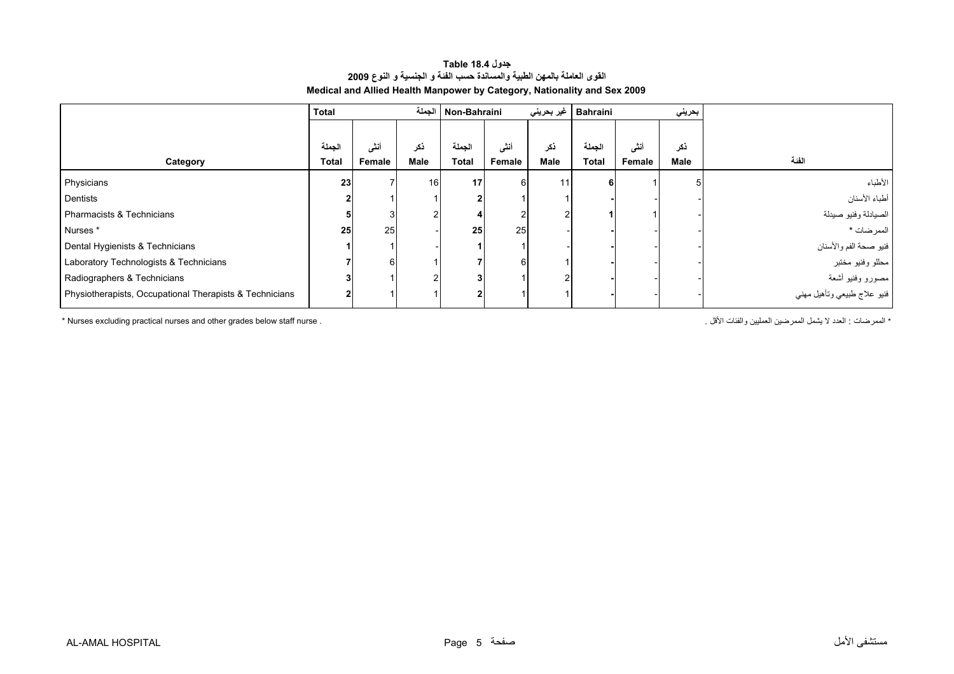#### **جدول 18.4 Table القوى العاملة بالمهن الطبية والمساندة حسب الفئة <sup>و</sup> الجنسية <sup>و</sup> النوع <sup>2009</sup> Medical and Allied Health Manpower by Category, Nationality and Sex 2009**

<span id="page-3-0"></span>

|                                                         | <b>Total</b> |        | الحملة | Non-Bahraini |        | غير بحريني | <b>Bahraini</b> |        | بحريني      |                             |
|---------------------------------------------------------|--------------|--------|--------|--------------|--------|------------|-----------------|--------|-------------|-----------------------------|
|                                                         |              |        |        |              |        |            |                 |        |             |                             |
|                                                         | الجملة       | أنشى   | ذكر    | الجملة       | أننسى  | ذكر        | الجملة          | أنشى   | ذكر         |                             |
| Category                                                | <b>Total</b> | Female | Male   | <b>Total</b> | Female | Male       | <b>Total</b>    | Female | <b>Male</b> | الفئة                       |
| Physicians                                              | 23           |        | 16     | 17           | 6      | 11         |                 |        |             | الأطباء                     |
| Dentists                                                |              |        |        |              |        |            |                 |        |             | أطباء الأسنان               |
| Pharmacists & Technicians                               |              |        |        |              |        |            |                 |        |             | الصيادلة وفنيو صيدلة        |
| Nurses*                                                 | 25           | 25     |        | 25           | 25     |            |                 |        |             | الممر ضات *                 |
| Dental Hygienists & Technicians                         |              |        |        |              |        |            |                 |        |             | فنيو صحة الفم والأسنان      |
| Laboratory Technologists & Technicians                  |              | 61     |        |              |        |            |                 |        |             | محللو وفنيو مختبر           |
| Radiographers & Technicians                             |              |        |        |              |        |            |                 |        |             | مصورو وفنيو أشعة            |
| Physiotherapists, Occupational Therapists & Technicians |              |        |        |              |        |            |                 |        |             | فنيو علاج طبيعي وتأهيل مهني |

\* العدد لا يشمل الممرضين العمليين والفئات الأقل .<br>\* Nurses excluding practical nurses and other grades below staff nurse .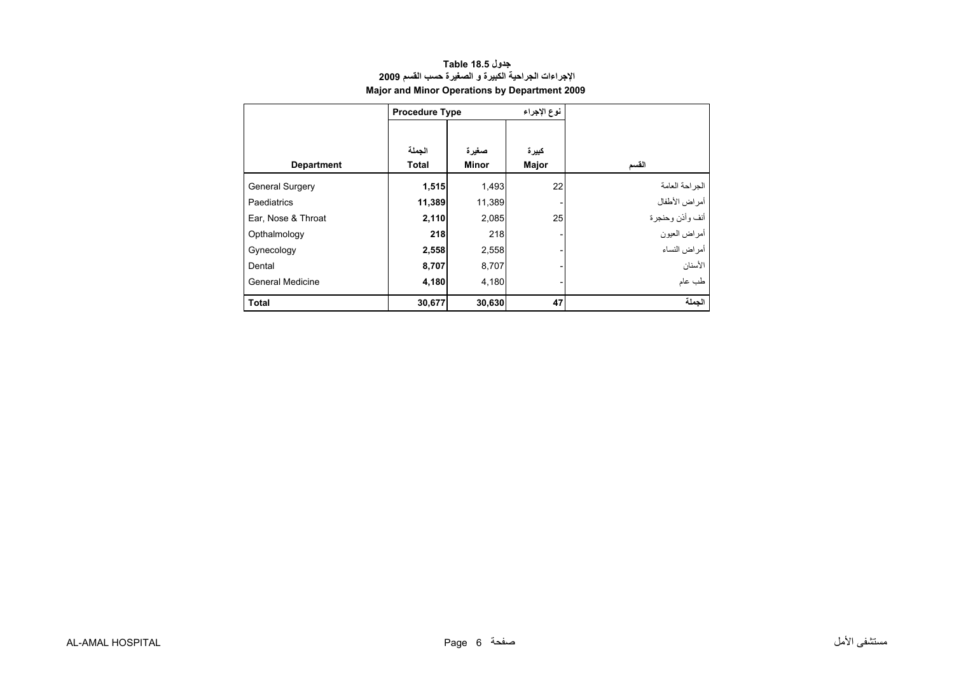<span id="page-4-0"></span>

|                         | <b>Procedure Type</b>  |                | نوع الإجراء    |                 |
|-------------------------|------------------------|----------------|----------------|-----------------|
| <b>Department</b>       | الجملة<br><b>Total</b> | صغيرة<br>Minor | كبيرة<br>Major | القسم           |
| <b>General Surgery</b>  | 1,515                  | 1,493          | 22             | الجر احة العامة |
| Paediatrics             | 11,389                 | 11,389         |                | أمراض الأطفال   |
| Ear, Nose & Throat      | 2,110                  | 2,085          | 25             | أنف وأذن وحنجرة |
| Opthalmology            | 218                    | 218            |                | أمراض العيون    |
| Gynecology              | 2,558                  | 2,558          |                | أمراض النساء    |
| Dental                  | 8,707                  | 8,707          |                | الأسنان         |
| <b>General Medicine</b> | 4,180                  | 4,180          |                | طب عام          |
| <b>Total</b>            | 30,677                 | 30,630         | 47             | الحملة          |

# **جدول 18.5 Table الإجراءات الجراحية الكبيرة <sup>و</sup> الصغيرة حسب القسم <sup>2009</sup> Major and Minor Operations by Department 2009**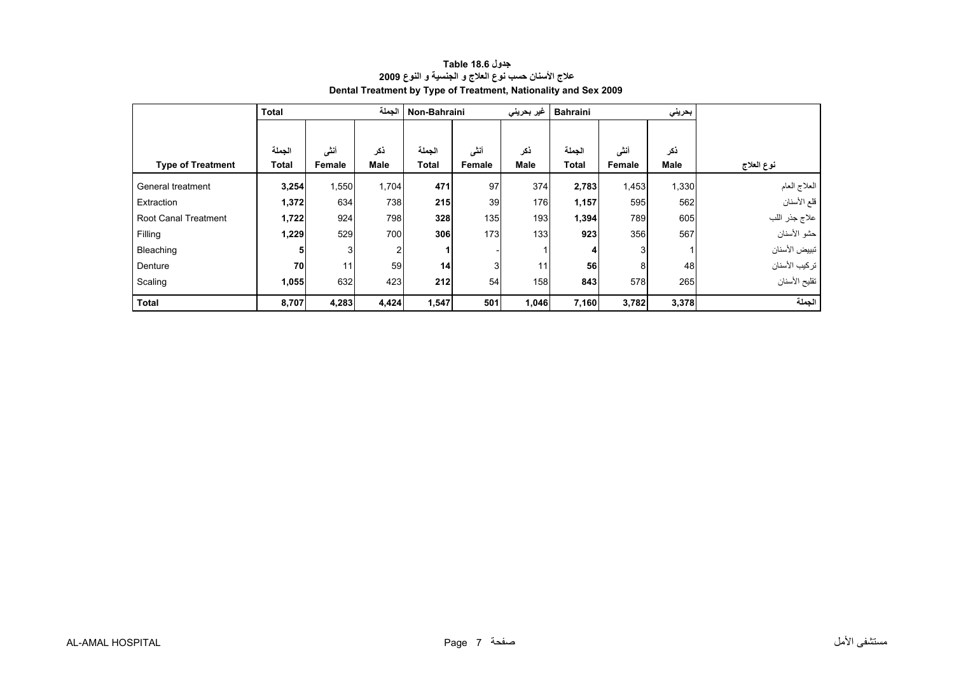<span id="page-5-0"></span>

|                             | <b>Total</b> |        | الجملة      | Non-Bahraini    |                | غیر بحرینی  | <b>Bahraini</b> |        | بحريني      |               |
|-----------------------------|--------------|--------|-------------|-----------------|----------------|-------------|-----------------|--------|-------------|---------------|
|                             |              |        |             |                 |                |             |                 |        |             |               |
|                             | الجملة       | أننى   | ذكر         | الجملة          | أنشى           | ذكر         | الجملة          | أنشى   | ذكر         |               |
| <b>Type of Treatment</b>    | <b>Total</b> | Female | <b>Male</b> | <b>Total</b>    | Female         | <b>Male</b> | <b>Total</b>    | Female | <b>Male</b> | نوع العلاج    |
| General treatment           | 3,254        | 1,550  | 1,704       | 471             | 97             | 374         | 2,783           | 1,453  | 1,330       | العلاج العام  |
| Extraction                  | 1,372        | 634    | 738         | 215             | 39             | 176         | 1,157           | 595    | 562         | قلع الأسنان   |
| <b>Root Canal Treatment</b> | 1,722        | 924    | 798         | 328             | 135            | 193         | 1,394           | 789    | 605         | علاج جذر اللب |
| Filling                     | 1,229        | 529    | 700         | 306             | 173            | 133         | 923             | 356    | 567         | حشو الأسنان   |
| Bleaching                   | 51           | 3      | 2           |                 |                |             | 4               |        |             | تبييض الأسنان |
| Denture                     | 70           | 11     | 59          | 14 <sub>1</sub> | 3 <sub>l</sub> | 11          | 56              | 8      | 48          | تركيب الأسنان |
| Scaling                     | 1,055        | 632    | 423         | 212             | 54             | 158         | 843             | 578    | 265         | تقليح الأسنان |
| <b>Total</b>                | 8,707        | 4,283  | 4,424       | 1,547           | 501            | 1,046       | 7,160           | 3,782  | 3,378       | الجملة        |

# **جدول 18.6 Table علاج الأسنان حسب نوع العلاج <sup>و</sup> الجنسية <sup>و</sup> النوع <sup>2009</sup> Dental Treatment by Type of Treatment, Nationality and Sex 2009**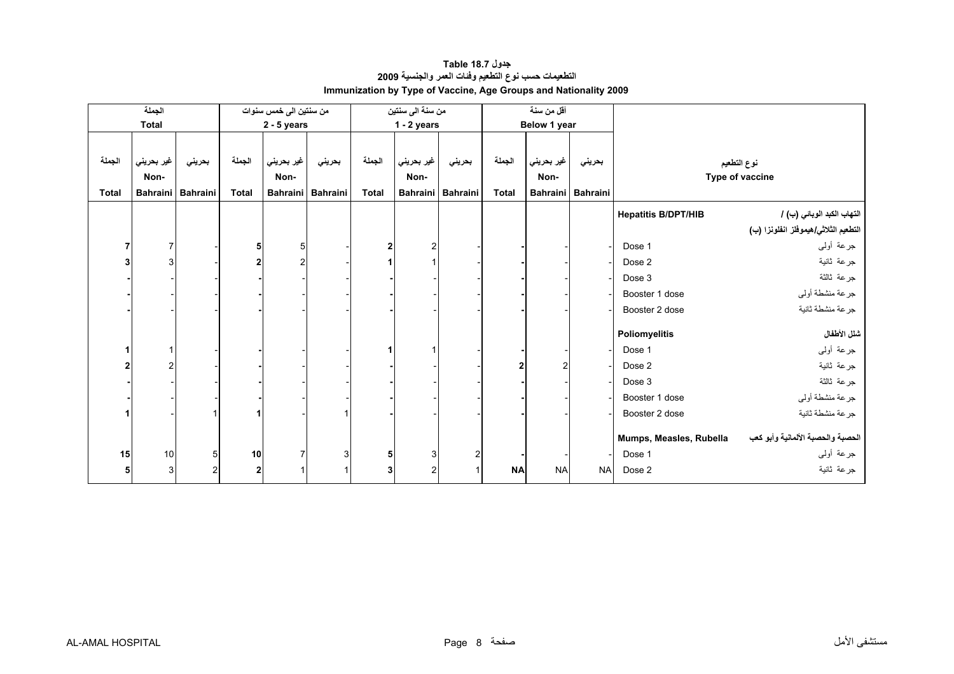<span id="page-6-0"></span>

|              | الجملة          |                 |                         | من سنتين الى خمس سنوات |                   |              | من سنة الى سنتين |                   |              | أقل من سنة   |                   |                            |                                      |
|--------------|-----------------|-----------------|-------------------------|------------------------|-------------------|--------------|------------------|-------------------|--------------|--------------|-------------------|----------------------------|--------------------------------------|
|              | <b>Total</b>    |                 |                         | $2 - 5$ years          |                   |              | $1 - 2$ years    |                   |              | Below 1 year |                   |                            |                                      |
|              |                 |                 |                         |                        |                   |              |                  |                   |              |              |                   |                            |                                      |
| الجملة       | غير بحريني      | بحريني          | الجملة                  | غير بحريني             | بحريني            | الجملة       | غير بحريني       | بحريني            | الجملة       | غير بحريني   | بحريني            |                            | نوع التطعيم                          |
|              | Non-            |                 |                         | Non-                   |                   |              | Non-             |                   |              | Non-         |                   |                            | Type of vaccine                      |
| <b>Total</b> | <b>Bahraini</b> | Bahraini        | <b>Total</b>            |                        | Bahraini Bahraini | <b>Total</b> |                  | Bahraini Bahraini | <b>Total</b> |              | Bahraini Bahraini |                            |                                      |
|              |                 |                 |                         |                        |                   |              |                  |                   |              |              |                   | <b>Hepatitis B/DPT/HIB</b> | التهاب الكبد الوبائي (ب) /           |
|              |                 |                 |                         |                        |                   |              |                  |                   |              |              |                   |                            | التطعيم الثلاثي/هيموفلز انفلونزا (ب) |
|              | 7               |                 | 5                       | 5                      |                   | 2            | $\overline{2}$   |                   |              |              |                   | Dose 1                     | جرعة أولىي                           |
|              | 3               |                 | $\mathbf{2}$            |                        |                   |              |                  |                   |              |              |                   | Dose 2                     | جرعة ثانية                           |
|              |                 |                 |                         |                        |                   |              |                  |                   |              |              |                   | Dose 3                     | جرعة ثالثة                           |
|              |                 |                 |                         |                        |                   |              |                  |                   |              |              |                   |                            |                                      |
|              |                 |                 |                         |                        |                   |              |                  |                   |              |              |                   | Booster 1 dose             | جرعة منشطة أولي                      |
|              |                 |                 |                         |                        |                   |              |                  |                   |              |              |                   | Booster 2 dose             | جرعة منشطة ثانية                     |
|              |                 |                 |                         |                        |                   |              |                  |                   |              |              |                   | <b>Poliomyelitis</b>       | شلل الأطفال                          |
|              |                 |                 |                         |                        |                   |              |                  |                   |              |              |                   | Dose 1                     | جرعة أولىي                           |
|              | $\overline{2}$  |                 |                         |                        |                   |              |                  |                   |              |              |                   | Dose 2                     | جرعة ثانية                           |
|              |                 |                 |                         |                        |                   |              |                  |                   |              |              |                   | Dose 3                     | جرعة ثالثة                           |
|              |                 |                 |                         |                        |                   |              |                  |                   |              |              |                   | Booster 1 dose             | جرعة منشطة أولي                      |
|              |                 |                 |                         |                        |                   |              |                  |                   |              |              |                   | Booster 2 dose             | جرعة منشطة ثانية                     |
|              |                 |                 |                         |                        |                   |              |                  |                   |              |              |                   |                            |                                      |
|              |                 |                 |                         |                        |                   |              |                  |                   |              |              |                   | Mumps, Measles, Rubella    | الحصبة والحصبة الألمانية وأبو كعب    |
| 15           | 10              | $5\overline{)}$ | 10                      |                        | 3                 | 5            | 3 <sup>1</sup>   | $\overline{2}$    |              |              |                   | Dose 1                     | جرعة أولىي                           |
|              | $\mathbf{3}$    | $\overline{2}$  | $\overline{\mathbf{2}}$ |                        |                   | 3            | $\overline{2}$   |                   | <b>NA</b>    | <b>NA</b>    | <b>NA</b>         | Dose 2                     | جرعة ثانية                           |

# **جدول 18.7 Table التطعيمات حسب نوع التطعيم وفئات العمر والجنسية <sup>2009</sup> Immunization by Type of Vaccine, Age Groups and Nationality 2009**